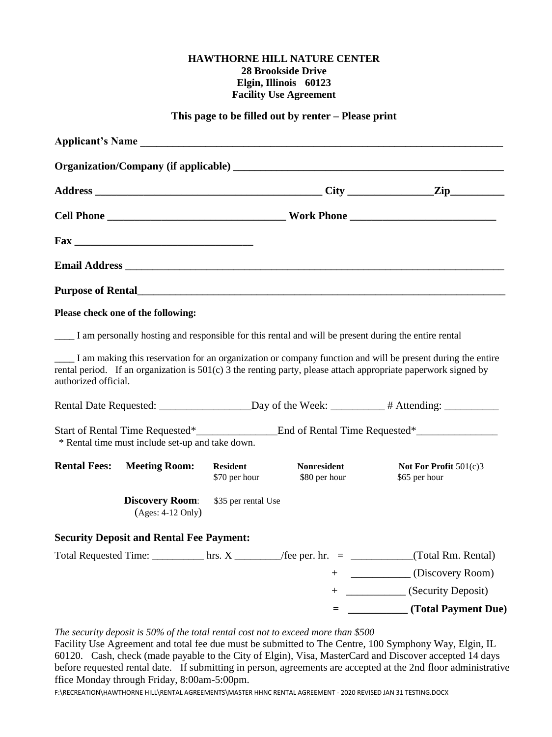#### **HAWTHORNE HILL NATURE CENTER 28 Brookside Drive Elgin, Illinois 60123 Facility Use Agreement**

#### **This page to be filled out by renter – Please print**

|                                                                                                                                |                                                  |                                  | Applicant's Name                                                                                     |                                                                                                                                                                                                                                |
|--------------------------------------------------------------------------------------------------------------------------------|--------------------------------------------------|----------------------------------|------------------------------------------------------------------------------------------------------|--------------------------------------------------------------------------------------------------------------------------------------------------------------------------------------------------------------------------------|
|                                                                                                                                |                                                  |                                  |                                                                                                      |                                                                                                                                                                                                                                |
|                                                                                                                                |                                                  |                                  |                                                                                                      |                                                                                                                                                                                                                                |
|                                                                                                                                |                                                  |                                  |                                                                                                      |                                                                                                                                                                                                                                |
|                                                                                                                                |                                                  |                                  |                                                                                                      |                                                                                                                                                                                                                                |
|                                                                                                                                |                                                  |                                  | <b>Email Address</b>                                                                                 |                                                                                                                                                                                                                                |
|                                                                                                                                |                                                  |                                  | Purpose of Rental <u>December 2008</u>                                                               |                                                                                                                                                                                                                                |
|                                                                                                                                | Please check one of the following:               |                                  |                                                                                                      |                                                                                                                                                                                                                                |
|                                                                                                                                |                                                  |                                  | I am personally hosting and responsible for this rental and will be present during the entire rental |                                                                                                                                                                                                                                |
| authorized official.                                                                                                           |                                                  |                                  |                                                                                                      | I am making this reservation for an organization or company function and will be present during the entire<br>rental period. If an organization is $501(c)$ 3 the renting party, please attach appropriate paperwork signed by |
| Rental Date Requested: _______________________Day of the Week: _________# Attending: ______________                            |                                                  |                                  |                                                                                                      |                                                                                                                                                                                                                                |
|                                                                                                                                | * Rental time must include set-up and take down. |                                  |                                                                                                      |                                                                                                                                                                                                                                |
| <b>Rental Fees:</b>                                                                                                            | <b>Meeting Room:</b>                             | <b>Resident</b><br>\$70 per hour | <b>Nonresident</b><br>\$80 per hour                                                                  | Not For Profit $501(c)3$<br>\$65 per hour                                                                                                                                                                                      |
|                                                                                                                                | <b>Discovery Room:</b><br>$(Ages: 4-12 Only)$    | \$35 per rental Use              |                                                                                                      |                                                                                                                                                                                                                                |
|                                                                                                                                | <b>Security Deposit and Rental Fee Payment:</b>  |                                  |                                                                                                      |                                                                                                                                                                                                                                |
| Total Requested Time: $\frac{1}{\text{m}}$ hrs. X $\frac{1}{\text{m}}$ /fee per. hr. = $\frac{1}{\text{m}}$ (Total Rm. Rental) |                                                  |                                  |                                                                                                      |                                                                                                                                                                                                                                |
|                                                                                                                                |                                                  |                                  |                                                                                                      | + ____________ (Discovery Room)                                                                                                                                                                                                |
|                                                                                                                                |                                                  |                                  | $^{+}$                                                                                               | (Security Deposit)                                                                                                                                                                                                             |
|                                                                                                                                |                                                  |                                  | $=$                                                                                                  | (Total Payment Due)                                                                                                                                                                                                            |
|                                                                                                                                |                                                  |                                  |                                                                                                      |                                                                                                                                                                                                                                |

# *The security deposit is 50% of the total rental cost not to exceed more than \$500*

Facility Use Agreement and total fee due must be submitted to The Centre, 100 Symphony Way, Elgin, IL 60120. Cash, check (made payable to the City of Elgin), Visa, MasterCard and Discover accepted 14 days before requested rental date. If submitting in person, agreements are accepted at the 2nd floor administrative ffice Monday through Friday, 8:00am-5:00pm.

F:\RECREATION\HAWTHORNE HILL\RENTAL AGREEMENTS\MASTER HHNC RENTAL AGREEMENT - 2020 REVISED JAN 31 TESTING.DOCX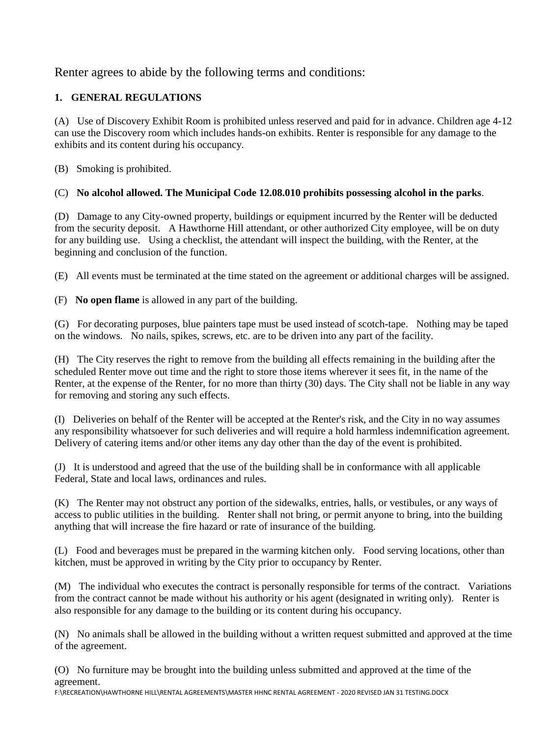# Renter agrees to abide by the following terms and conditions:

# **1. GENERAL REGULATIONS**

(A) Use of Discovery Exhibit Room is prohibited unless reserved and paid for in advance. Children age 4-12 can use the Discovery room which includes hands-on exhibits. Renter is responsible for any damage to the exhibits and its content during his occupancy.

(B) Smoking is prohibited.

# (C) **No alcohol allowed. The Municipal Code 12.08.010 prohibits possessing alcohol in the parks**.

(D) Damage to any City-owned property, buildings or equipment incurred by the Renter will be deducted from the security deposit. A Hawthorne Hill attendant, or other authorized City employee, will be on duty for any building use. Using a checklist, the attendant will inspect the building, with the Renter, at the beginning and conclusion of the function.

(E) All events must be terminated at the time stated on the agreement or additional charges will be assigned.

(F) **No open flame** is allowed in any part of the building.

(G) For decorating purposes, blue painters tape must be used instead of scotch-tape. Nothing may be taped on the windows. No nails, spikes, screws, etc. are to be driven into any part of the facility.

(H) The City reserves the right to remove from the building all effects remaining in the building after the scheduled Renter move out time and the right to store those items wherever it sees fit, in the name of the Renter, at the expense of the Renter, for no more than thirty (30) days. The City shall not be liable in any way for removing and storing any such effects.

(I) Deliveries on behalf of the Renter will be accepted at the Renter's risk, and the City in no way assumes any responsibility whatsoever for such deliveries and will require a hold harmless indemnification agreement. Delivery of catering items and/or other items any day other than the day of the event is prohibited.

(J) It is understood and agreed that the use of the building shall be in conformance with all applicable Federal, State and local laws, ordinances and rules.

(K) The Renter may not obstruct any portion of the sidewalks, entries, halls, or vestibules, or any ways of access to public utilities in the building. Renter shall not bring, or permit anyone to bring, into the building anything that will increase the fire hazard or rate of insurance of the building.

(L) Food and beverages must be prepared in the warming kitchen only. Food serving locations, other than kitchen, must be approved in writing by the City prior to occupancy by Renter.

(M) The individual who executes the contract is personally responsible for terms of the contract. Variations from the contract cannot be made without his authority or his agent (designated in writing only). Renter is also responsible for any damage to the building or its content during his occupancy.

(N) No animals shall be allowed in the building without a written request submitted and approved at the time of the agreement.

(O) No furniture may be brought into the building unless submitted and approved at the time of the agreement.

F:\RECREATION\HAWTHORNE HILL\RENTAL AGREEMENTS\MASTER HHNC RENTAL AGREEMENT - 2020 REVISED JAN 31 TESTING.DOCX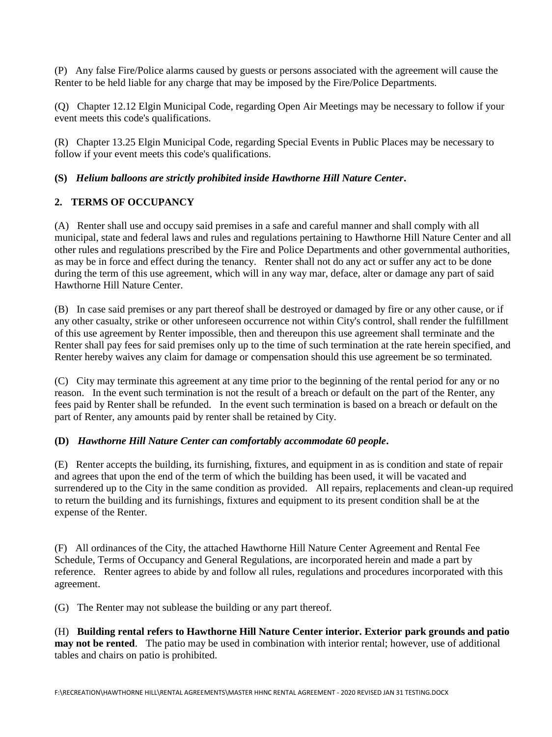(P) Any false Fire/Police alarms caused by guests or persons associated with the agreement will cause the Renter to be held liable for any charge that may be imposed by the Fire/Police Departments.

(Q) Chapter 12.12 Elgin Municipal Code, regarding Open Air Meetings may be necessary to follow if your event meets this code's qualifications.

(R) Chapter 13.25 Elgin Municipal Code, regarding Special Events in Public Places may be necessary to follow if your event meets this code's qualifications.

# **(S)** *Helium balloons are strictly prohibited inside Hawthorne Hill Nature Center***.**

# **2. TERMS OF OCCUPANCY**

(A) Renter shall use and occupy said premises in a safe and careful manner and shall comply with all municipal, state and federal laws and rules and regulations pertaining to Hawthorne Hill Nature Center and all other rules and regulations prescribed by the Fire and Police Departments and other governmental authorities, as may be in force and effect during the tenancy. Renter shall not do any act or suffer any act to be done during the term of this use agreement, which will in any way mar, deface, alter or damage any part of said Hawthorne Hill Nature Center.

(B) In case said premises or any part thereof shall be destroyed or damaged by fire or any other cause, or if any other casualty, strike or other unforeseen occurrence not within City's control, shall render the fulfillment of this use agreement by Renter impossible, then and thereupon this use agreement shall terminate and the Renter shall pay fees for said premises only up to the time of such termination at the rate herein specified, and Renter hereby waives any claim for damage or compensation should this use agreement be so terminated.

(C) City may terminate this agreement at any time prior to the beginning of the rental period for any or no reason. In the event such termination is not the result of a breach or default on the part of the Renter, any fees paid by Renter shall be refunded. In the event such termination is based on a breach or default on the part of Renter, any amounts paid by renter shall be retained by City.

#### **(D)** *Hawthorne Hill Nature Center can comfortably accommodate 60 people***.**

(E) Renter accepts the building, its furnishing, fixtures, and equipment in as is condition and state of repair and agrees that upon the end of the term of which the building has been used, it will be vacated and surrendered up to the City in the same condition as provided. All repairs, replacements and clean-up required to return the building and its furnishings, fixtures and equipment to its present condition shall be at the expense of the Renter.

(F) All ordinances of the City, the attached Hawthorne Hill Nature Center Agreement and Rental Fee Schedule, Terms of Occupancy and General Regulations, are incorporated herein and made a part by reference. Renter agrees to abide by and follow all rules, regulations and procedures incorporated with this agreement.

(G) The Renter may not sublease the building or any part thereof.

(H) **Building rental refers to Hawthorne Hill Nature Center interior. Exterior park grounds and patio may not be rented**. The patio may be used in combination with interior rental; however, use of additional tables and chairs on patio is prohibited.